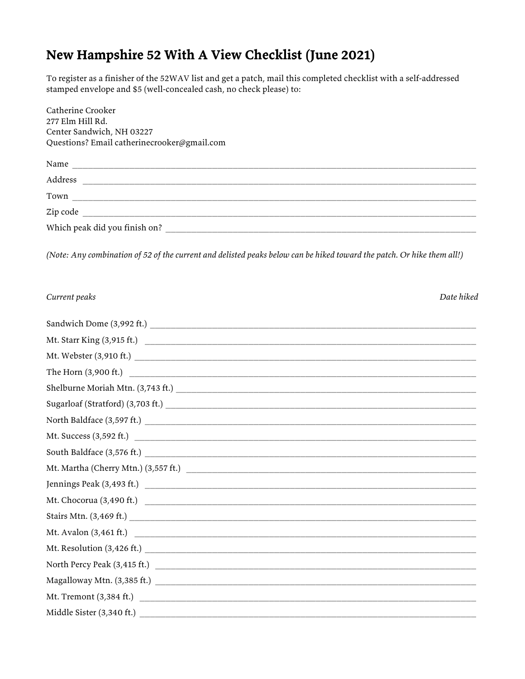## **New Hampshire 52 With A View Checklist (June 2021)**

To register as a finisher of the 52WAV list and get a patch, mail this completed checklist with a self-addressed stamped envelope and \$5 (well-concealed cash, no check please) to:

| Catherine Crooker<br>277 Elm Hill Rd.       |  |
|---------------------------------------------|--|
| Center Sandwich, NH 03227                   |  |
| Questions? Email catherinecrooker@gmail.com |  |
| Name                                        |  |
| Address                                     |  |
| Town                                        |  |
| Zip code                                    |  |
| Which peak did you finish on?               |  |

*(Note: Any combination of 52 of the current and delisted peaks below can be hiked toward the patch. Or hike them all!)*

| Current peaks | Date hiked<br>. |
|---------------|-----------------|
|---------------|-----------------|

| Mt. Starr King (3,915 ft.)                                                                                                                                                                                                                                                                                                                                                                         |  |
|----------------------------------------------------------------------------------------------------------------------------------------------------------------------------------------------------------------------------------------------------------------------------------------------------------------------------------------------------------------------------------------------------|--|
|                                                                                                                                                                                                                                                                                                                                                                                                    |  |
|                                                                                                                                                                                                                                                                                                                                                                                                    |  |
|                                                                                                                                                                                                                                                                                                                                                                                                    |  |
|                                                                                                                                                                                                                                                                                                                                                                                                    |  |
|                                                                                                                                                                                                                                                                                                                                                                                                    |  |
|                                                                                                                                                                                                                                                                                                                                                                                                    |  |
| $\textbf{South Baldface (3,576 ft.)} \vspace*{-0.1cm} \vspace*{-0.1cm} \vspace*{-0.1cm} \vspace*{-0.1cm} \vspace*{-0.1cm} \vspace*{-0.1cm} \vspace*{-0.1cm} \vspace*{-0.1cm} \vspace*{-0.1cm} \vspace*{-0.1cm} \vspace*{-0.1cm} \vspace*{-0.1cm} \vspace*{-0.1cm} \vspace*{-0.1cm} \vspace*{-0.1cm} \vspace*{-0.1cm} \vspace*{-0.1cm} \vspace*{-0.1cm} \vspace*{-0.1cm} \vspace*{-0.1cm} \vspace*$ |  |
| Mt. Martha (Cherry Mtn.) (3,557 ft.)                                                                                                                                                                                                                                                                                                                                                               |  |
|                                                                                                                                                                                                                                                                                                                                                                                                    |  |
|                                                                                                                                                                                                                                                                                                                                                                                                    |  |
|                                                                                                                                                                                                                                                                                                                                                                                                    |  |
|                                                                                                                                                                                                                                                                                                                                                                                                    |  |
|                                                                                                                                                                                                                                                                                                                                                                                                    |  |
|                                                                                                                                                                                                                                                                                                                                                                                                    |  |
|                                                                                                                                                                                                                                                                                                                                                                                                    |  |
|                                                                                                                                                                                                                                                                                                                                                                                                    |  |
| Middle Sister (3,340 ft.)                                                                                                                                                                                                                                                                                                                                                                          |  |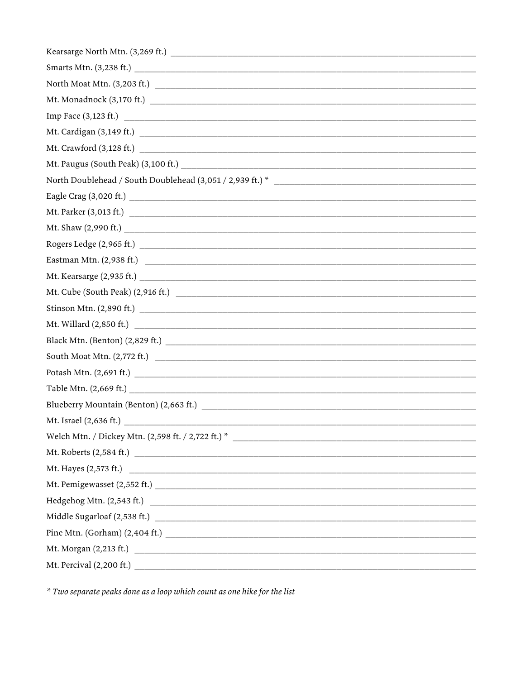| Mt. Monadnock (3,170 ft.)                         |
|---------------------------------------------------|
|                                                   |
| Mt. Cardigan (3,149 ft.)                          |
|                                                   |
|                                                   |
|                                                   |
|                                                   |
|                                                   |
|                                                   |
|                                                   |
| Eastman Mtn. $(2,938 \text{ ft.})$                |
|                                                   |
|                                                   |
|                                                   |
|                                                   |
|                                                   |
|                                                   |
|                                                   |
|                                                   |
|                                                   |
|                                                   |
|                                                   |
|                                                   |
| Mt. Hayes $(2,573 \text{ ft.})$                   |
|                                                   |
|                                                   |
| $\mbox{Midde Sugarloaf (2,538 ft.)} \label{eq:1}$ |
| Pine Mtn. (Gorham) $(2,404 \text{ ft.})$          |
|                                                   |
|                                                   |

\* Two separate peaks done as a loop which count as one hike for the list